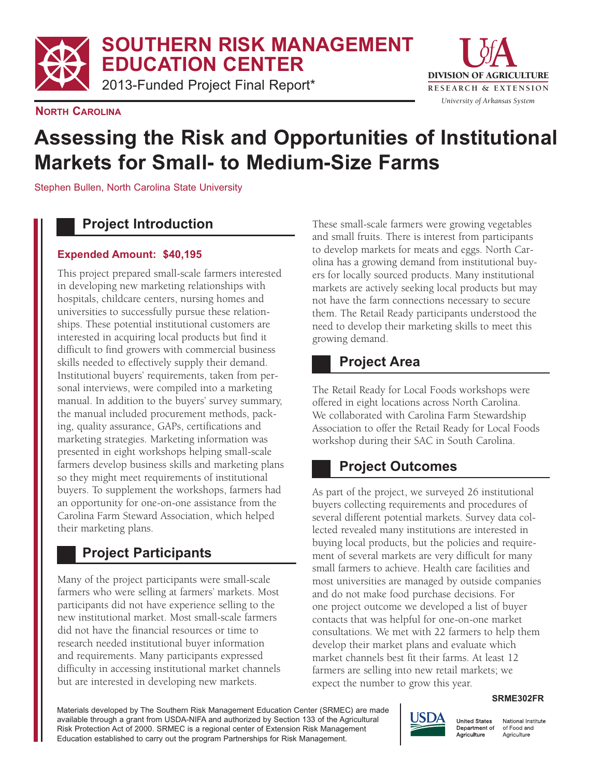**SOUTHERN RISK MANAGEMENT EDUCATION CENTER**

2013-Funded Project Final Report\*



**NORTH CAROLINA**

# **Assessing the Risk and Opportunities of Institutional Markets for Small- to Medium-Size Farms**

Stephen Bullen, North Carolina State University

#### **Project Introduction**

#### **Expended Amount: \$40,195**

This project prepared small-scale farmers interested in developing new marketing relationships with hospitals, childcare centers, nursing homes and universities to successfully pursue these relationships. These potential institutional customers are interested in acquiring local products but find it difficult to find growers with commercial business skills needed to effectively supply their demand. Institutional buyers' requirements, taken from personal interviews, were compiled into a marketing manual. In addition to the buyers' survey summary, the manual included procurement methods, packing, quality assurance, GAPs, certifications and marketing strategies. Marketing information was presented in eight workshops helping small-scale farmers develop business skills and marketing plans so they might meet requirements of institutional buyers. To supplement the workshops, farmers had an opportunity for one-on-one assistance from the Carolina Farm Steward Association, which helped their marketing plans.

## **Project Participants**

Many of the project participants were small-scale farmers who were selling at farmers' markets. Most participants did not have experience selling to the new institutional market. Most small-scale farmers did not have the financial resources or time to research needed institutional buyer information and requirements. Many participants expressed difficulty in accessing institutional market channels but are interested in developing new markets.

These small-scale farmers were growing vegetables and small fruits. There is interest from participants to develop markets for meats and eggs. North Carolina has a growing demand from institutional buyers for locally sourced products. Many institutional markets are actively seeking local products but may not have the farm connections necessary to secure them. The Retail Ready participants understood the need to develop their marketing skills to meet this growing demand.

#### **Project Area**

The Retail Ready for Local Foods workshops were offered in eight locations across North Carolina. We collaborated with Carolina Farm Stewardship Association to offer the Retail Ready for Local Foods workshop during their SAC in South Carolina.

## **Project Outcomes**

As part of the project, we surveyed 26 institutional buyers collecting requirements and procedures of several different potential markets. Survey data collected revealed many institutions are interested in buying local products, but the policies and requirement of several markets are very difficult for many small farmers to achieve. Health care facilities and most universities are managed by outside companies and do not make food purchase decisions. For one project outcome we developed a list of buyer contacts that was helpful for one-on-one market consultations. We met with 22 farmers to help them develop their market plans and evaluate which market channels best fit their farms. At least 12 farmers are selling into new retail markets; we expect the number to grow this year.

#### **SRME302FR**

Materials developed by The Southern Risk Management Education Center (SRMEC) are made available through a grant from USDA-NIFA and authorized by Section 133 of the Agricultural Risk Protection Act of 2000. SRMEC is a regional center of Extension Risk Management Education established to carry out the program Partnerships for Risk Management.



National Institute of Food and Agriculture